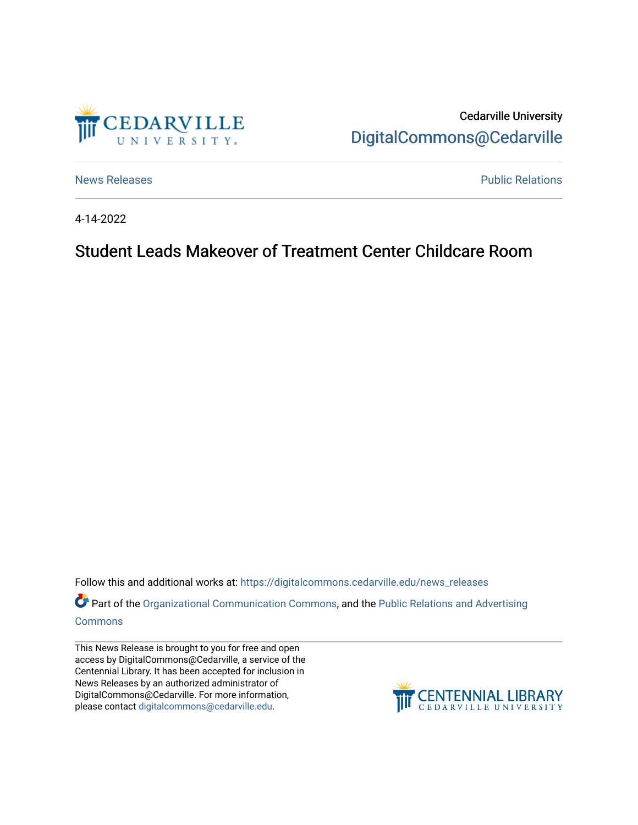

Cedarville University [DigitalCommons@Cedarville](https://digitalcommons.cedarville.edu/) 

[News Releases](https://digitalcommons.cedarville.edu/news_releases) **Public Relations Public Relations** 

4-14-2022

## Student Leads Makeover of Treatment Center Childcare Room

Follow this and additional works at: [https://digitalcommons.cedarville.edu/news\\_releases](https://digitalcommons.cedarville.edu/news_releases?utm_source=digitalcommons.cedarville.edu%2Fnews_releases%2F1534&utm_medium=PDF&utm_campaign=PDFCoverPages) 

Part of the [Organizational Communication Commons](http://network.bepress.com/hgg/discipline/335?utm_source=digitalcommons.cedarville.edu%2Fnews_releases%2F1534&utm_medium=PDF&utm_campaign=PDFCoverPages), and the Public Relations and Advertising [Commons](http://network.bepress.com/hgg/discipline/336?utm_source=digitalcommons.cedarville.edu%2Fnews_releases%2F1534&utm_medium=PDF&utm_campaign=PDFCoverPages)

This News Release is brought to you for free and open access by DigitalCommons@Cedarville, a service of the Centennial Library. It has been accepted for inclusion in News Releases by an authorized administrator of DigitalCommons@Cedarville. For more information, please contact [digitalcommons@cedarville.edu](mailto:digitalcommons@cedarville.edu).

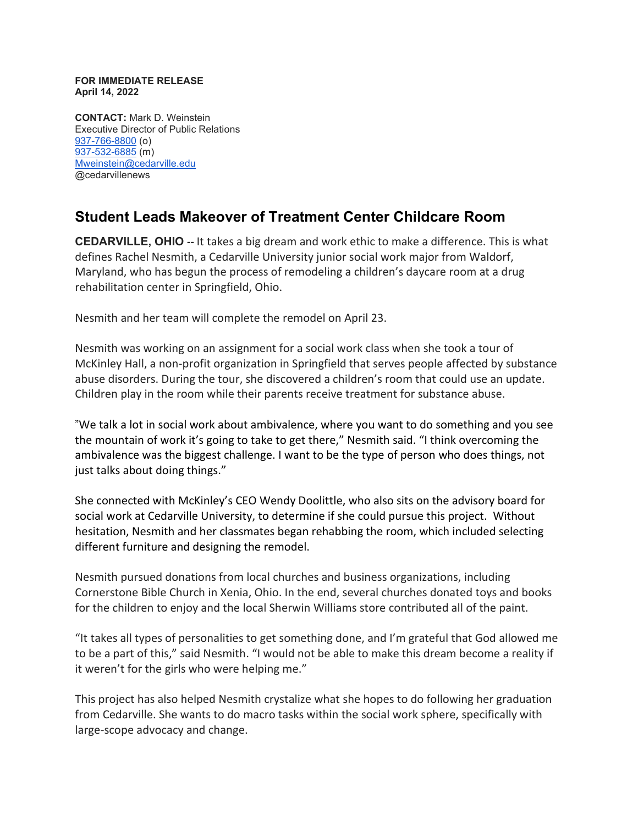## **FOR IMMEDIATE RELEASE April 14, 2022**

**CONTACT:** Mark D. Weinstein Executive Director of Public Relations [937-766-8800](tel:937-766-8800) (o) [937-532-6885](tel:937-532-6885) (m) [Mweinstein@cedarville.edu](mailto:Mweinstein@cedarville.edu) @cedarvillenews

## **Student Leads Makeover of Treatment Center Childcare Room**

**CEDARVILLE, OHIO --** It takes a big dream and work ethic to make a difference. This is what defines Rachel Nesmith, a Cedarville University junior social work major from Waldorf, Maryland, who has begun the process of remodeling a children's daycare room at a drug rehabilitation center in Springfield, Ohio.

Nesmith and her team will complete the remodel on April 23.

Nesmith was working on an assignment for a social work class when she took a tour of McKinley Hall, a non-profit organization in Springfield that serves people affected by substance abuse disorders. During the tour, she discovered a children's room that could use an update. Children play in the room while their parents receive treatment for substance abuse.

"We talk a lot in social work about ambivalence, where you want to do something and you see the mountain of work it's going to take to get there," Nesmith said. "I think overcoming the ambivalence was the biggest challenge. I want to be the type of person who does things, not just talks about doing things."

She connected with McKinley's CEO Wendy Doolittle, who also sits on the advisory board for social work at Cedarville University, to determine if she could pursue this project. Without hesitation, Nesmith and her classmates began rehabbing the room, which included selecting different furniture and designing the remodel.

Nesmith pursued donations from local churches and business organizations, including Cornerstone Bible Church in Xenia, Ohio. In the end, several churches donated toys and books for the children to enjoy and the local Sherwin Williams store contributed all of the paint.

"It takes all types of personalities to get something done, and I'm grateful that God allowed me to be a part of this," said Nesmith. "I would not be able to make this dream become a reality if it weren't for the girls who were helping me."

This project has also helped Nesmith crystalize what she hopes to do following her graduation from Cedarville. She wants to do macro tasks within the social work sphere, specifically with large-scope advocacy and change.